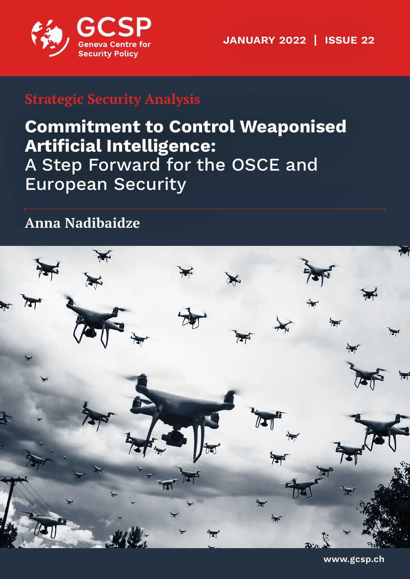

**January 2022 | issue 22**

## **Strategic Security Analysis**

# **Commitment to Control Weaponised Artificial Intelligence:**  A Step Forward for the OSCE and European Security

**Anna Nadibaidze**



**www.gcsp.ch**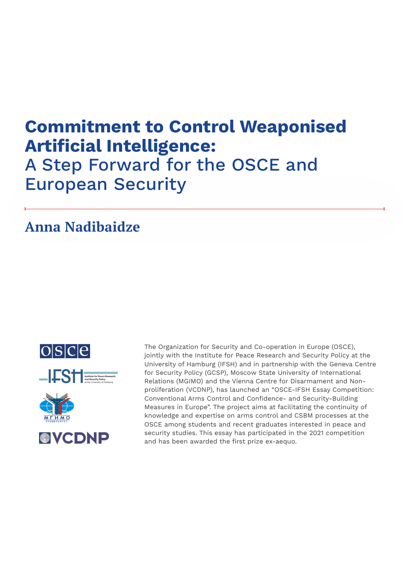# **Commitment to Control Weaponised Artificial Intelligence:** A Step Forward for the OSCE and European Security

## **Anna Nadibaidze**





The Organization for Security and Co-operation in Europe (OSCE), jointly with the Institute for Peace Research and Security Policy at the University of Hamburg (IFSH) and in partnership with the Geneva Centre for Security Policy (GCSP), Moscow State University of International Relations (MGIMO) and the Vienna Centre for Disarmament and Nonproliferation (VCDNP), has launched an "OSCE-IFSH Essay Competition: Conventional Arms Control and Confidence- and Security-Building Measures in Europe". The project aims at facilitating the continuity of knowledge and expertise on arms control and CSBM processes at the OSCE among students and recent graduates interested in peace and security studies. This essay has participated in the 2021 competition and has been awarded the first prize ex-aequo.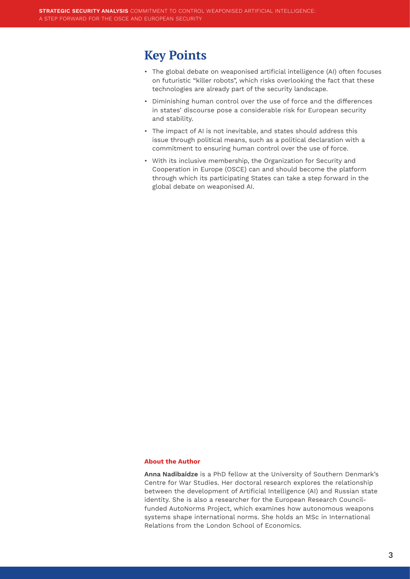#### **Key Points**

- The global debate on weaponised artificial intelligence (AI) often focuses on futuristic "killer robots", which risks overlooking the fact that these technologies are already part of the security landscape.
- Diminishing human control over the use of force and the differences in states' discourse pose a considerable risk for European security and stability.
- The impact of AI is not inevitable, and states should address this issue through political means, such as a political declaration with a commitment to ensuring human control over the use of force.
- With its inclusive membership, the Organization for Security and Cooperation in Europe (OSCE) can and should become the platform through which its participating States can take a step forward in the global debate on weaponised AI.

#### **About the Author**

**Anna Nadibaidze** is a PhD fellow at the University of Southern Denmark's Centre for War Studies. Her doctoral research explores the relationship between the development of Artificial Intelligence (AI) and Russian state identity. She is also a researcher for the European Research Councilfunded AutoNorms Project, which examines how autonomous weapons systems shape international norms. She holds an MSc in International Relations from the London School of Economics.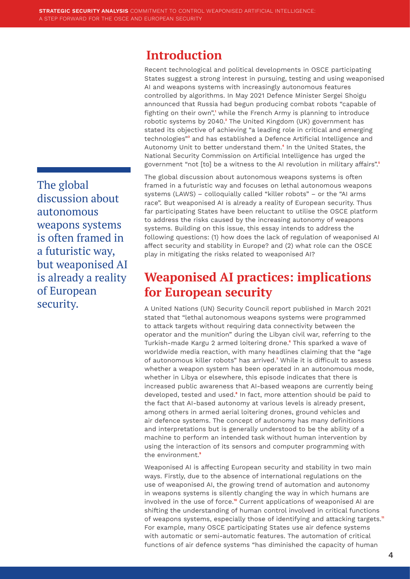#### <span id="page-3-0"></span>**Introduction**

Recent technological and political developments in OSCE participating States suggest a strong interest in pursuing, testing and using weaponised AI and weapons systems with increasingly autonomous features controlled by algorithms. In May 2021 Defence Minister Sergei Shoigu announced that Russia had begun producing combat robots "capable of fighting on their own",**[1](#page-9-0)** while the French Army is planning to introduce robotic systems by 2040.**[2](#page-9-0)** The United Kingdom (UK) government has stated its objective of achieving "a leading role in critical and emerging technologies"**[3](#page-9-0)** and has established a Defence Artificial Intelligence and Autonomy Unit to better understand them.**[4](#page-9-0)** In the United States, the National Security Commission on Artificial Intelligence has urged the government "not [to] be a witness to the AI revolution in military affairs".**[5](#page-9-0)**

The global discussion about autonomous weapons systems is often framed in a futuristic way and focuses on lethal autonomous weapons systems (LAWS) – colloquially called "killer robots" – or the "AI arms race". But weaponised AI is already a reality of European security. Thus far participating States have been reluctant to utilise the OSCE platform to address the risks caused by the increasing autonomy of weapons systems. Building on this issue, this essay intends to address the following questions: (1) how does the lack of regulation of weaponised AI affect security and stability in Europe? and (2) what role can the OSCE play in mitigating the risks related to weaponised AI?

### **Weaponised AI practices: implications for European security**

A United Nations (UN) Security Council report published in March 2021 stated that "lethal autonomous weapons systems were programmed to attack targets without requiring data connectivity between the operator and the munition" during the Libyan civil war, referring to the Turkish-made Kargu 2 armed loitering drone.**[6](#page-9-0)** This sparked a wave of worldwide media reaction, with many headlines claiming that the "age of autonomous killer robots" has arrived.**[7](#page-9-0)** While it is difficult to assess whether a weapon system has been operated in an autonomous mode, whether in Libya or elsewhere, this episode indicates that there is increased public awareness that AI-based weapons are currently being developed, tested and used.**[8](#page-9-0)** In fact, more attention should be paid to the fact that AI-based autonomy at various levels is already present, among others in armed aerial loitering drones, ground vehicles and air defence systems. The concept of autonomy has many definitions and interpretations but is generally understood to be the ability of a machine to perform an intended task without human intervention by using the interaction of its sensors and computer programming with the environment.**[9](#page-9-0)**

Weaponised AI is affecting European security and stability in two main ways. Firstly, due to the absence of international regulations on the use of weaponised AI, the growing trend of automation and autonomy in weapons systems is silently changing the way in which humans are involved in the use of force.**[10](#page-9-0)** Current applications of weaponised AI are shifting the understanding of human control involved in critical functions of weapons systems, especially those of identifying and attacking targets.**[11](#page-9-0)** For example, many OSCE participating States use air defence systems with automatic or semi-automatic features. The automation of critical functions of air defence systems "has diminished the capacity of human

The global discussion about autonomous weapons systems is often framed in a futuristic way, but weaponised AI is already a reality of European security.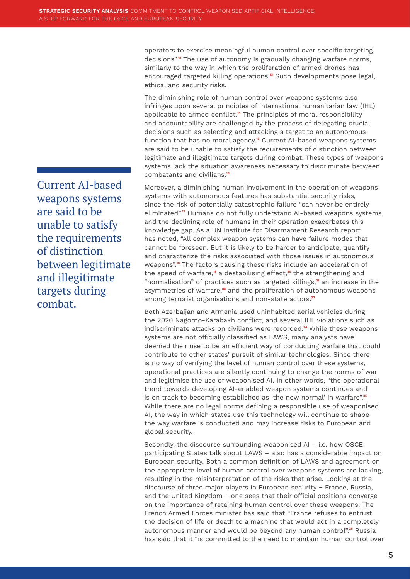<span id="page-4-0"></span>operators to exercise meaningful human control over specific targeting decisions".**[12](#page-9-0)** The use of autonomy is gradually changing warfare norms, similarly to the way in which the proliferation of armed drones has encouraged targeted killing operations.**[13](#page-9-0)** Such developments pose legal, ethical and security risks.

The diminishing role of human control over weapons systems also infringes upon several principles of international humanitarian law (IHL) applicable to armed conflict.**[14](#page-9-0)** The principles of moral responsibility and accountability are challenged by the process of delegating crucial decisions such as selecting and attacking a target to an autonomous function that has no moral agency.**[15](#page-9-0)** Current AI-based weapons systems are said to be unable to satisfy the requirements of distinction between legitimate and illegitimate targets during combat. These types of weapons systems lack the situation awareness necessary to discriminate between combatants and civilians.**[16](#page-9-0)**

Moreover, a diminishing human involvement in the operation of weapons systems with autonomous features has substantial security risks, since the risk of potentially catastrophic failure "can never be entirely eliminated".**[17](#page-9-0)** Humans do not fully understand AI-based weapons systems, and the declining role of humans in their operation exacerbates this knowledge gap. As a UN Institute for Disarmament Research report has noted, "All complex weapon systems can have failure modes that cannot be foreseen. But it is likely to be harder to anticipate, quantify and characterize the risks associated with those issues in autonomous weapons".**[18](#page-9-0)** The factors causing these risks include an acceleration of the speed of warfare,**[19](#page-9-0)** a destabilising effect,**[20](#page-9-0)** the strengthening and "normalisation" of practices such as targeted killings,**[21](#page-9-0)** an increase in the asymmetries of warfare,**[22](#page-9-0)** and the proliferation of autonomous weapons among terrorist organisations and non-state actors.**[23](#page-9-0)**

Both Azerbaijan and Armenia used uninhabited aerial vehicles during the 2020 Nagorno-Karabakh conflict, and several IHL violations such as indiscriminate attacks on civilians were recorded.**[24](#page-9-0)** While these weapons systems are not officially classified as LAWS, many analysts have deemed their use to be an efficient way of conducting warfare that could contribute to other states' pursuit of similar technologies. Since there is no way of verifying the level of human control over these systems, operational practices are silently continuing to change the norms of war and legitimise the use of weaponised AI. In other words, "the operational trend towards developing AI-enabled weapon systems continues and is on track to becoming established as 'the new normal' in warfare".**[25](#page-9-0)** While there are no legal norms defining a responsible use of weaponised AI, the way in which states use this technology will continue to shape the way warfare is conducted and may increase risks to European and global security.

Secondly, the discourse surrounding weaponised AI – i.e. how OSCE participating States talk about LAWS – also has a considerable impact on European security. Both a common definition of LAWS and agreement on the appropriate level of human control over weapons systems are lacking, resulting in the misinterpretation of the risks that arise. Looking at the discourse of three major players in European security − France, Russia, and the United Kingdom − one sees that their official positions converge on the importance of retaining human control over these weapons. The French Armed Forces minister has said that "France refuses to entrust the decision of life or death to a machine that would act in a completely autonomous manner and would be beyond any human control".**[26](#page-9-0)** Russia has said that it "is committed to the need to maintain human control over

Current AI-based weapons systems are said to be unable to satisfy the requirements of distinction between legitimate and illegitimate targets during combat.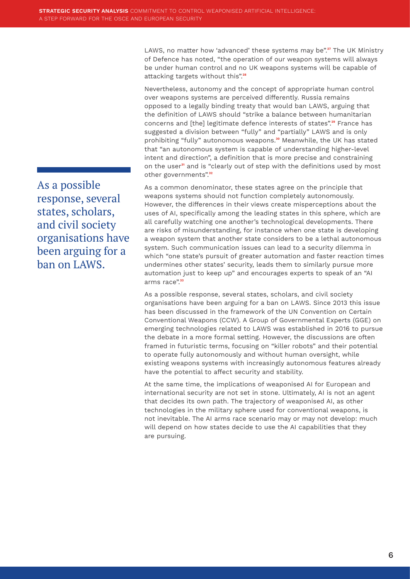<span id="page-5-0"></span>LAWS, no matter how 'advanced' these systems may be".**[27](#page-9-0)** The UK Ministry of Defence has noted, "the operation of our weapon systems will always be under human control and no UK weapons systems will be capable of attacking targets without this".**[28](#page-9-0)**

Nevertheless, autonomy and the concept of appropriate human control over weapons systems are perceived differently. Russia remains opposed to a legally binding treaty that would ban LAWS, arguing that the definition of LAWS should "strike a balance between humanitarian concerns and [the] legitimate defence interests of states".**[29](#page-9-0)** France has suggested a division between "fully" and "partially" LAWS and is only prohibiting "fully" autonomous weapons.**[30](#page-9-0)** Meanwhile, the UK has stated that "an autonomous system is capable of understanding higher-level intent and direction", a definition that is more precise and constraining on the user**[31](#page-9-0)** and is "clearly out of step with the definitions used by most other governments".**[32](#page-9-0)**

As a common denominator, these states agree on the principle that weapons systems should not function completely autonomously. However, the differences in their views create misperceptions about the uses of AI, specifically among the leading states in this sphere, which are all carefully watching one another's technological developments. There are risks of misunderstanding, for instance when one state is developing a weapon system that another state considers to be a lethal autonomous system. Such communication issues can lead to a security dilemma in which "one state's pursuit of greater automation and faster reaction times undermines other states' security, leads them to similarly pursue more automation just to keep up" and encourages experts to speak of an "AI arms race".**[33](#page-9-0)**

As a possible response, several states, scholars, and civil society organisations have been arguing for a ban on LAWS. Since 2013 this issue has been discussed in the framework of the UN Convention on Certain Conventional Weapons (CCW). A Group of Governmental Experts (GGE) on emerging technologies related to LAWS was established in 2016 to pursue the debate in a more formal setting. However, the discussions are often framed in futuristic terms, focusing on "killer robots" and their potential to operate fully autonomously and without human oversight, while existing weapons systems with increasingly autonomous features already have the potential to affect security and stability.

At the same time, the implications of weaponised AI for European and international security are not set in stone. Ultimately, AI is not an agent that decides its own path. The trajectory of weaponised AI, as other technologies in the military sphere used for conventional weapons, is not inevitable. The AI arms race scenario may or may not develop: much will depend on how states decide to use the AI capabilities that they are pursuing.

As a possible response, several states, scholars, and civil society organisations have been arguing for a ban on LAWS.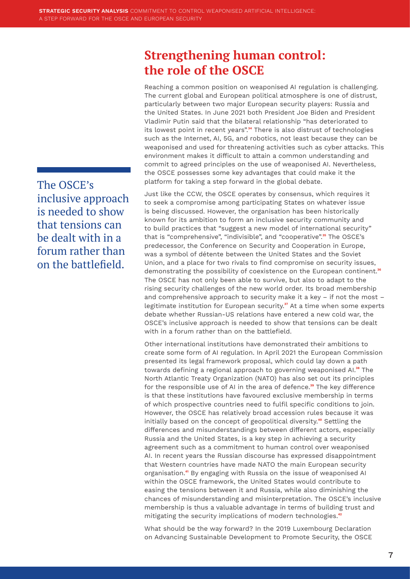#### The OSCE's inclusive approach is needed to show that tensions can be dealt with in a forum rather than on the battlefield.

#### <span id="page-6-0"></span>**Strengthening human control: the role of the OSCE**

Reaching a common position on weaponised AI regulation is challenging. The current global and European political atmosphere is one of distrust, particularly between two major European security players: Russia and the United States. In June 2021 both President Joe Biden and President Vladimir Putin said that the bilateral relationship "has deteriorated to its lowest point in recent years".**[34](#page-10-0)** There is also distrust of technologies such as the Internet, AI, 5G, and robotics, not least because they can be weaponised and used for threatening activities such as cyber attacks. This environment makes it difficult to attain a common understanding and commit to agreed principles on the use of weaponised AI. Nevertheless, the OSCE possesses some key advantages that could make it the platform for taking a step forward in the global debate.

Just like the CCW, the OSCE operates by consensus, which requires it to seek a compromise among participating States on whatever issue is being discussed. However, the organisation has been historically known for its ambition to form an inclusive security community and to build practices that "suggest a new model of international security" that is "comprehensive", "indivisible", and "cooperative".**[35](#page-10-0)** The OSCE's predecessor, the Conference on Security and Cooperation in Europe, was a symbol of détente between the United States and the Soviet Union, and a place for two rivals to find compromise on security issues, demonstrating the possibility of coexistence on the European continent.**[36](#page-10-0)** The OSCE has not only been able to survive, but also to adapt to the rising security challenges of the new world order. Its broad membership and comprehensive approach to security make it a key – if not the most – legitimate institution for European security.**[37](#page-10-0)** At a time when some experts debate whether Russian-US relations have entered a new cold war, the OSCE's inclusive approach is needed to show that tensions can be dealt with in a forum rather than on the battlefield.

Other international institutions have demonstrated their ambitions to create some form of AI regulation. In April 2021 the European Commission presented its legal framework proposal, which could lay down a path towards defining a regional approach to governing weaponised AI.**[38](#page-10-0)** The North Atlantic Treaty Organization (NATO) has also set out its principles for the responsible use of AI in the area of defence.**[39](#page-10-0)** The key difference is that these institutions have favoured exclusive membership in terms of which prospective countries need to fulfil specific conditions to join. However, the OSCE has relatively broad accession rules because it was initially based on the concept of geopolitical diversity.**[40](#page-10-0)** Settling the differences and misunderstandings between different actors, especially Russia and the United States, is a key step in achieving a security agreement such as a commitment to human control over weaponised AI. In recent years the Russian discourse has expressed disappointment that Western countries have made NATO the main European security organisation.**[41](#page-10-0)** By engaging with Russia on the issue of weaponised AI within the OSCE framework, the United States would contribute to easing the tensions between it and Russia, while also diminishing the chances of misunderstanding and misinterpretation. The OSCE's inclusive membership is thus a valuable advantage in terms of building trust and mitigating the security implications of modern technologies.**[42](#page-10-0)**

What should be the way forward? In the 2019 Luxembourg Declaration on Advancing Sustainable Development to Promote Security, the OSCE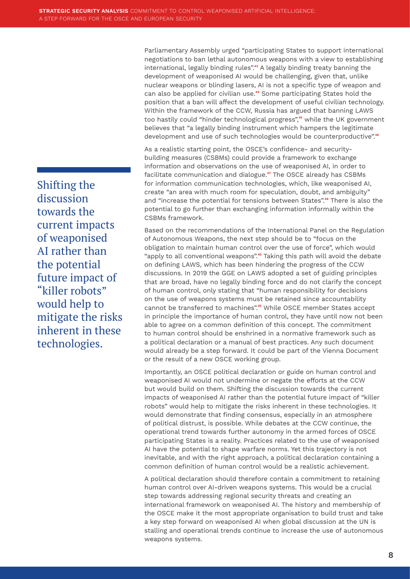Shifting the discussion towards the current impacts of weaponised AI rather than the potential future impact of "killer robots" would help to mitigate the risks inherent in these technologies.

<span id="page-7-0"></span>Parliamentary Assembly urged "participating States to support international negotiations to ban lethal autonomous weapons with a view to establishing international, legally binding rules".**[43](#page-10-0)** A legally binding treaty banning the development of weaponised AI would be challenging, given that, unlike nuclear weapons or blinding lasers, AI is not a specific type of weapon and can also be applied for civilian use.**[44](#page-10-0)** Some participating States hold the position that a ban will affect the development of useful civilian technology. Within the framework of the CCW, Russia has argued that banning LAWS too hastily could "hinder technological progress",**[45](#page-10-0)** while the UK government believes that "a legally binding instrument which hampers the legitimate development and use of such technologies would be counterproductive".<sup>[46](#page-10-0)</sup>

As a realistic starting point, the OSCE's confidence- and securitybuilding measures (CSBMs) could provide a framework to exchange information and observations on the use of weaponised AI, in order to facilitate communication and dialogue.**[47](#page-10-0)** The OSCE already has CSBMs for information communication technologies, which, like weaponised AI, create "an area with much room for speculation, doubt, and ambiguity" and "increase the potential for tensions between States".**[48](#page-10-0)** There is also the potential to go further than exchanging information informally within the CSBMs framework.

Based on the recommendations of the International Panel on the Regulation of Autonomous Weapons, the next step should be to "focus on the obligation to maintain human control over the use of force", which would "apply to all conventional weapons".**[49](#page-10-0)** Taking this path will avoid the debate on defining LAWS, which has been hindering the progress of the CCW discussions. In 2019 the GGE on LAWS adopted a set of guiding principles that are broad, have no legally binding force and do not clarify the concept of human control, only stating that "human responsibility for decisions on the use of weapons systems must be retained since accountability cannot be transferred to machines".**[50](#page-10-0)** While OSCE member States accept in principle the importance of human control, they have until now not been able to agree on a common definition of this concept. The commitment to human control should be enshrined in a normative framework such as a political declaration or a manual of best practices. Any such document would already be a step forward. It could be part of the Vienna Document or the result of a new OSCE working group.

Importantly, an OSCE political declaration or guide on human control and weaponised AI would not undermine or negate the efforts at the CCW but would build on them. Shifting the discussion towards the current impacts of weaponised AI rather than the potential future impact of "killer robots" would help to mitigate the risks inherent in these technologies. It would demonstrate that finding consensus, especially in an atmosphere of political distrust, is possible. While debates at the CCW continue, the operational trend towards further autonomy in the armed forces of OSCE participating States is a reality. Practices related to the use of weaponised AI have the potential to shape warfare norms. Yet this trajectory is not inevitable, and with the right approach, a political declaration containing a common definition of human control would be a realistic achievement.

A political declaration should therefore contain a commitment to retaining human control over AI-driven weapons systems. This would be a crucial step towards addressing regional security threats and creating an international framework on weaponised AI. The history and membership of the OSCE make it the most appropriate organisation to build trust and take a key step forward on weaponised AI when global discussion at the UN is stalling and operational trends continue to increase the use of autonomous weapons systems.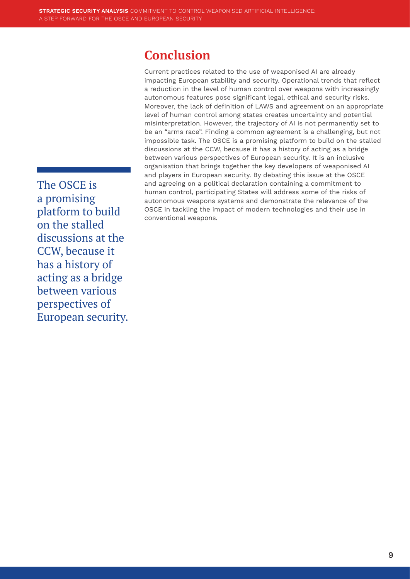#### **Conclusion**

Current practices related to the use of weaponised AI are already impacting European stability and security. Operational trends that reflect a reduction in the level of human control over weapons with increasingly autonomous features pose significant legal, ethical and security risks. Moreover, the lack of definition of LAWS and agreement on an appropriate level of human control among states creates uncertainty and potential misinterpretation. However, the trajectory of AI is not permanently set to be an "arms race". Finding a common agreement is a challenging, but not impossible task. The OSCE is a promising platform to build on the stalled discussions at the CCW, because it has a history of acting as a bridge between various perspectives of European security. It is an inclusive organisation that brings together the key developers of weaponised AI and players in European security. By debating this issue at the OSCE and agreeing on a political declaration containing a commitment to human control, participating States will address some of the risks of autonomous weapons systems and demonstrate the relevance of the OSCE in tackling the impact of modern technologies and their use in conventional weapons.

The OSCE is a promising platform to build on the stalled discussions at the CCW, because it has a history of acting as a bridge between various perspectives of European security.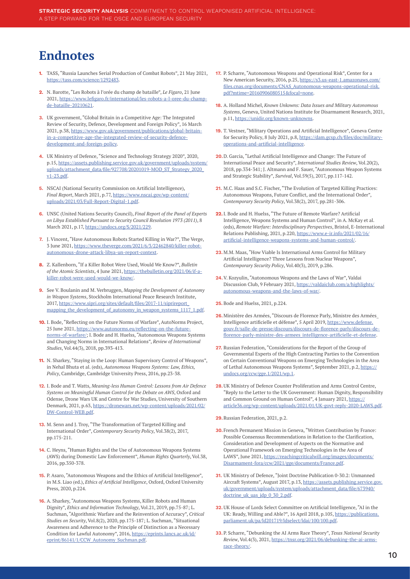### <span id="page-9-0"></span>**Endnotes**

- **1.** [TA](#page-3-0)SS, "Russia Launches Serial Production of Combat Robots", 21 May 2021, <https://tass.com/science/1292483>.
- **2.** [N](#page-3-0). Barotte, "Les Robots à l'orée du champ de bataille", *Le Figaro*, 21 June 2021, [https://www.lefigaro.fr/international/les-robots-a-l-oree-du-champ](https://www.lefigaro.fr/international/les-robots-a-l-oree-du-champ-de-bataille-20210621)[de-bataille-20210621.](https://www.lefigaro.fr/international/les-robots-a-l-oree-du-champ-de-bataille-20210621)
- **3.** UK government, "Global Britain in a Competitive Age: The Integrated Review of Security, Defence, Development and Foreign Policy", 16 March 2021, p.38, [https://www.gov.uk/government/publications/global-britain](https://www.gov.uk/government/publications/global-britain-in-a-competitive-age-the-integrated-review-of-security-defence-development-and-foreign-policy)[in-a-competitive-age-the-integrated-review-of-security-defence](https://www.gov.uk/government/publications/global-britain-in-a-competitive-age-the-integrated-review-of-security-defence-development-and-foreign-policy)[development-and-foreign-policy.](https://www.gov.uk/government/publications/global-britain-in-a-competitive-age-the-integrated-review-of-security-defence-development-and-foreign-policy)
- **4.** UK Ministry of Defence, "Science and Technology Strategy 2020", 2020, p.15, [https://assets.publishing.service.gov.uk/government/uploads/system/](https://assets.publishing.service.gov.uk/government/uploads/system/uploads/attachment_data/file/927708/20201019-MOD_ST_Strategy_2020_v1-23.pdf) [uploads/attachment\\_data/file/927708/20201019-MOD\\_ST\\_Strategy\\_2020\\_](https://assets.publishing.service.gov.uk/government/uploads/system/uploads/attachment_data/file/927708/20201019-MOD_ST_Strategy_2020_v1-23.pdf) [v1-23.pdf.](https://assets.publishing.service.gov.uk/government/uploads/system/uploads/attachment_data/file/927708/20201019-MOD_ST_Strategy_2020_v1-23.pdf)
- **5.** NSCAI (National Security Commission on Artificial Intelligence), *Final Report*, March 2021, p.77, [https://www.nscai.gov/wp-content/](https://www.nscai.gov/wp-content/uploads/2021/03/Full-Report-Digital-1.pdf) [uploads/2021/03/Full-Report-Digital-1.pdf.](https://www.nscai.gov/wp-content/uploads/2021/03/Full-Report-Digital-1.pdf)
- **6.** UNSC (United Nations Security Council), *Final Report of the Panel of Experts on Libya Established Pursuant to Security Council Resolution 1973 (2011)*, 8 March 2021, p.17, [https://undocs.org/S/2021/229.](https://undocs.org/S/2021/229)
- **7.** J. Vincent, "Have Autonomous Robots Started Killing in War?", The Verge, 3 June 2021, [https://www.theverge.com/2021/6/3/22462840/killer-robot](https://www.theverge.com/2021/6/3/22462840/killer-robot-autonomous-drone-attack-libya-un-report-context)[autonomous-drone-attack-libya-un-report-context.](https://www.theverge.com/2021/6/3/22462840/killer-robot-autonomous-drone-attack-libya-un-report-context)
- **8.** [Z](#page-3-0). Kallenborn, "If a Killer Robot Were Used, Would We Know?", *Bulletin of the Atomic Scientists*, 4 June 2021, [https://thebulletin.org/2021/06/if-a](https://thebulletin.org/2021/06/if-a-killer-robot-were-used-would-we-know/)[killer-robot-were-used-would-we-know/.](https://thebulletin.org/2021/06/if-a-killer-robot-were-used-would-we-know/)
- **9.** See V. Boulanin and M. Verbruggen, *Mapping the Development of Autonomy in Weapon Systems*, Stockholm International Peace Research Institute, 2017, [https://www.sipri.org/sites/default/files/2017-11/siprireport\\_](https://www.sipri.org/sites/default/files/2017-11/siprireport_mapping_the_development_of_autonomy_in_weapon_systems_1117_1.pdf) mapping the development of autonomy in weapon systems 1117 1.pdf.
- **10.** [I](#page-3-0). Bode, "Reflecting on the Future Norms of Warfare", AutoNorms Project, 25 June 2021, [https://www.autonorms.eu/reflecting-on-the-future](https://www.autonorms.eu/reflecting-on-the-future-norms-of-warfare/)[norms-of-warfare/;](https://www.autonorms.eu/reflecting-on-the-future-norms-of-warfare/) I. Bode and H. Huelss, "Autonomous Weapons Systems and Changing Norms in International Relations", *Review of International Studies*, Vol.44(3), 2018, pp.393-413.
- **11.** [N](#page-3-0). Sharkey, "Staying in the Loop: Human Supervisory Control of Weapons", in Nehal Bhuta et al. (eds), *Autonomous Weapons Systems: Law, Ethics, Policy*, Cambridge, Cambridge University Press, 2016, pp.23-38.
- **12.** I. Bode and T. Watts, *Meaning-less Human Control: Lessons from Air Defence Systems on Meaningful Human Control for the Debate on AWS*, Oxford and Odense, Drone Wars UK and Centre for War Studies, University of Southern Denmark, 2021, p.63, [https://dronewars.net/wp-content/uploads/2021/02/](https://dronewars.net/wp-content/uploads/2021/02/DW-Control-WEB.pdf) [DW-Control-WEB.pdf](https://dronewars.net/wp-content/uploads/2021/02/DW-Control-WEB.pdf).
- **13.** M. Senn and J. Troy, "The Transformation of Targeted Killing and International Order", *Contemporary Security Policy*, Vol.38(2), 2017, pp.175-211.
- **14.** C. Heyns, "Human Rights and the Use of Autonomous Weapons Systems (AWS) during Domestic Law Enforcement", *Human Rights Quarterly*, Vol.38, 2016, pp.350-378.
- **15.** P. Asaro, "Autonomous Weapons and the Ethics of Artificial Intelligence", in M.S. Liao (ed.), *Ethics of Artificial Intelligence*, Oxford, Oxford University Press, 2020, p.224.
- **16.** A. Sharkey, "Autonomous Weapons Systems, Killer Robots and Human Dignity", *Ethics and Information Technology*, Vol.21, 2019, pp.75-87; L. Suchman, "Algorithmic Warfare and the Reinvention of Accuracy", *Critical Studies on Security*, Vol.8(2), 2020, pp.175-187; L. Suchman, "Situational Awareness and Adherence to the Principle of Distinction as a Necessary Condition for Lawful Autonomy", 2016, [https://eprints.lancs.ac.uk/id/](https://eprints.lancs.ac.uk/id/eprint/86141/1/CCW_Autonomy_Suchman.pdf) [eprint/86141/1/CCW\\_Autonomy\\_Suchman.pdf](https://eprints.lancs.ac.uk/id/eprint/86141/1/CCW_Autonomy_Suchman.pdf).
- **17.** P. Scharre, "Autonomous Weapons and Operational Risk", Center for a New American Security, 2016, p.25, [https://s3.us-east-1.amazonaws.com/](https://s3.us-east-1.amazonaws.com/files.cnas.org/documents/CNAS_Autonomous-weapons-operational-risk.pdf?mtime=20160906080515&focal=none) [files.cnas.org/documents/CNAS\\_Autonomous-weapons-operational-risk.](https://s3.us-east-1.amazonaws.com/files.cnas.org/documents/CNAS_Autonomous-weapons-operational-risk.pdf?mtime=20160906080515&focal=none) [pdf?mtime=20160906080515&focal=none.](https://s3.us-east-1.amazonaws.com/files.cnas.org/documents/CNAS_Autonomous-weapons-operational-risk.pdf?mtime=20160906080515&focal=none)
- **18.** A. Holland Michel, *Known Unkowns: Data Issues and Military Autonomous Systems*, Geneva, United Nations Institute for Disarmament Research, 2021, p.11, [https://unidir.org/known-unknowns.](https://unidir.org/known-unknowns)
- **19.** T. Vestner, "Military Operations and Artificial Intelligence", Geneva Centre for Security Policy, 8 July 2021, p.8, [https://dam.gcsp.ch/files/doc/military](https://dam.gcsp.ch/files/doc/military-operations-and-artificial-intelligence)[operations-and-artificial-intelligence](https://dam.gcsp.ch/files/doc/military-operations-and-artificial-intelligence).
- **20.**D. Garcia, "Lethal Artificial Intelligence and Change: The Future of International Peace and Security", *International Studies Review*, Vol.20(2), 2018, pp.334-341; J. Altmann and F. Sauer, "Autonomous Weapon Systems and Strategic Stability", *Survival*, Vol.59(5), 2017, pp.117-142.
- **21.** M.C. Haas and S.C. Fischer, "The Evolution of Targeted Killing Practices: Autonomous Weapons, Future Conflict, and the International Order", *Contemporary Security Policy*, Vol.38(2), 2017, pp.281-306.
- **22.**[I](#page-4-0). Bode and H. Huelss, "The Future of Remote Warfare? Artificial Intelligence, Weapons Systems and Human Control", in A. McKay et al. (eds), *Remote Warfare: Interdisciplinary Perspectives*, Bristol, E-International Relations Publishing, 2021, p.220, [https://www.e-ir.info/2021/02/16/](https://www.e-ir.info/2021/02/16/artificial-intelligence-weapons-systems-and-human-control/) [artificial-intelligence-weapons-systems-and-human-control/](https://www.e-ir.info/2021/02/16/artificial-intelligence-weapons-systems-and-human-control/).
- **23.** M.M. Maas, "How Viable Is International Arms Control for Military Artificial Intelligence? Three Lessons from Nuclear Weapons", *Contemporary Security Policy*, Vol.40(3), 2019, p.286.
- **24.**V. Kozyulin, "Autonomous Weapons and the Laws of War", Valdai Discussion Club, 9 February 2021, [https://valdaiclub.com/a/highlights/](https://valdaiclub.com/a/highlights/autonomous-weapons-and-the-laws-of-war/) [autonomous-weapons-and-the-laws-of-war/.](https://valdaiclub.com/a/highlights/autonomous-weapons-and-the-laws-of-war/)
- **25.** [Bo](#page-4-0)de and Huelss, 2021, p.224.
- **26.**Ministère des Armées, "Discours de Florence Parly, Ministre des Armées\_ Intelligence artificielle et défense", 5 April 2019, [https://www.defense.](https://www.defense.gouv.fr/salle-de-presse/discours/discours-de-florence-parly/discours-de-florence-parly-ministre-des-armees_intelligence-artificielle-et-defense) [gouv.fr/salle-de-presse/discours/discours-de-florence-parly/discours-de](https://www.defense.gouv.fr/salle-de-presse/discours/discours-de-florence-parly/discours-de-florence-parly-ministre-des-armees_intelligence-artificielle-et-defense)[florence-parly-ministre-des-armees\\_intelligence-artificielle-et-defense](https://www.defense.gouv.fr/salle-de-presse/discours/discours-de-florence-parly/discours-de-florence-parly-ministre-des-armees_intelligence-artificielle-et-defense).
- **27.** Russian Federation, "Considerations for the Report of the Group of Governmental Experts of the High Contracting Parties to the Convention on Certain Conventional Weapons on Emerging Technologies in the Area of Lethal Autonomous Weapons Systems", September 2021, p.2, [https://](https://undocs.org/ccw/gge.1/2021/wp.1) [undocs.org/ccw/gge.1/2021/wp.1](https://undocs.org/ccw/gge.1/2021/wp.1).
- **28.**UK Ministry of Defence Counter Proliferation and Arms Control Centre, "Reply to the Letter to the UK Government: Human Dignity, Responsibility and Common Ground on Human Control", 4 January 2021, [https://](https://article36.org/wp-content/uploads/2021/01/UK-govt-reply-2020-LAWS.pdf) [article36.org/wp-content/uploads/2021/01/UK-govt-reply-2020-LAWS.pdf.](https://article36.org/wp-content/uploads/2021/01/UK-govt-reply-2020-LAWS.pdf)
- **29.**[R](#page-5-0)ussian Federation, 2021, p.2.
- **30.**French Permanent Mission in Geneva, "Written Contribution by France: Possible Consensus Recommendations in Relation to the Clarification, Consideration and Development of Aspects on the Normative and Operational Framework on Emerging Technologies in the Area of LAWS", June 2021, [https://reachingcriticalwill.org/images/documents/](https://reachingcriticalwill.org/images/documents/Disarmament-fora/ccw/2021/gge/documents/France.pdf) [Disarmament-fora/ccw/2021/gge/documents/France.pdf](https://reachingcriticalwill.org/images/documents/Disarmament-fora/ccw/2021/gge/documents/France.pdf).
- **31.** UK Ministry of Defence, "Joint Doctrine Publication 0-30.2: Unmanned Aircraft Systems", August 2017, p.13, [https://assets.publishing.service.gov.](https://assets.publishing.service.gov.uk/government/uploads/system/uploads/attachment_data/file/673940/doctrine_uk_uas_jdp_0_30_2.pdf) [uk/government/uploads/system/uploads/attachment\\_data/file/673940/](https://assets.publishing.service.gov.uk/government/uploads/system/uploads/attachment_data/file/673940/doctrine_uk_uas_jdp_0_30_2.pdf) [doctrine\\_uk\\_uas\\_jdp\\_0\\_30\\_2.pdf](https://assets.publishing.service.gov.uk/government/uploads/system/uploads/attachment_data/file/673940/doctrine_uk_uas_jdp_0_30_2.pdf).
- **32.**UK House of Lords Select Committee on Artificial Intelligence, "AI in the UK: Ready, Willing and Able?", 16 April 2018, p.105, [https://publications.](https://publications.parliament.uk/pa/ld201719/ldselect/ldai/100/100.pdf) [parliament.uk/pa/ld201719/ldselect/ldai/100/100.pdf](https://publications.parliament.uk/pa/ld201719/ldselect/ldai/100/100.pdf).
- **33.** P. Scharre, "Debunking the AI Arms Race Theory", *Texas National Security Review*, Vol.4(3), 2021, [https://tnsr.org/2021/06/debunking-the-ai-arms](https://tnsr.org/2021/06/debunking-the-ai-arms-race-theory/)[race-theory/](https://tnsr.org/2021/06/debunking-the-ai-arms-race-theory/).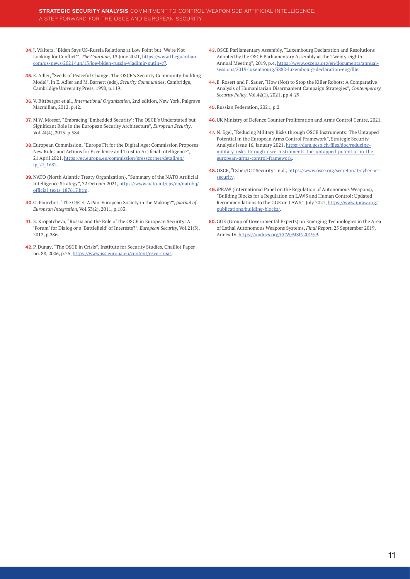- <span id="page-10-0"></span>**34.**J. Walters, "Biden Says US-Russia Relations at Low Point but 'We're Not Looking for Conflict'", *The Guardian*, 13 June 2021, [https://www.theguardian.](https://www.theguardian.com/us-news/2021/jun/13/joe-biden-russia-vladimir-putin-g7) [com/us-news/2021/jun/13/joe-biden-russia-vladimir-putin-g7](https://www.theguardian.com/us-news/2021/jun/13/joe-biden-russia-vladimir-putin-g7).
- **35.** E. Adler, "Seeds of Peaceful Change: The OSCE's Security Community-building Model", in E. Adler and M. Barnett (eds), *Security Communities*, Cambridge, Cambridige University Press, 1998, p.119.
- **36.**V. Rittberger et al., *International Organization*, 2nd edition, New York, Palgrave Macmillan, 2012, p.42.
- **37.** M.W. Mosser, "Embracing 'Embedded Security': The OSCE's Understated but Significant Role in the European Security Architecture", *European Security*, Vol.24(4), 2015, p.584.
- **38.**European Commission, "Europe Fit for the Digital Age: Commission Proposes New Rules and Actions for Excellence and Trust in Artificial Intelligence", 21 April 2021, [https://ec.europa.eu/commission/presscorner/detail/en/](https://ec.europa.eu/commission/presscorner/detail/en/ip_21_1682) [ip\\_21\\_1682](https://ec.europa.eu/commission/presscorner/detail/en/ip_21_1682).
- **39.**[N](#page-6-0)ATO (North Atlantic Treaty Organization), "Summary of the NATO Artificial Intelligence Strategy", 22 October 2021, [https://www.nato.int/cps/en/natohq/](https://www.nato.int/cps/en/natohq/official_texts_187617.htm) [official\\_texts\\_187617.htm](https://www.nato.int/cps/en/natohq/official_texts_187617.htm).
- **40.**G. Pourchot, "The OSCE: A Pan-European Society in the Making?", *Journal of European Integration*, Vol.33(2), 2011, p.183.
- **41.** E. Kropatcheva, "Russia and the Role of the OSCE in European Security: A 'Forum' for Dialog or a 'Battlefield' of Interests?", *European Security*, Vol.21(3), 2012, p.386.
- **42.**P. Dunay, "The OSCE in Crisis", Institute for Security Studies, Chaillot Paper no. 88, 2006, p.25, <https://www.iss.europa.eu/content/osce-crisis>.
- **43.**OSCE Parliamentary Assembly, "Luxembourg Declaration and Resolutions Adopted by the OSCE Parliamentary Assembly at the Twenty-eighth Annual Meeting", 2019, p.4, [https://www.oscepa.org/en/documents/annual](https://www.oscepa.org/en/documents/annual-sessions/2019-luxembourg/3882-luxembourg-declaration-eng/file)[sessions/2019-luxembourg/3882-luxembourg-declaration-eng/file](https://www.oscepa.org/en/documents/annual-sessions/2019-luxembourg/3882-luxembourg-declaration-eng/file).
- **44.**E. Rosert and F. Sauer, "How (Not) to Stop the Killer Robots: A Comparative Analysis of Humanitarian Disarmament Campaign Strategies", *Contemporary Security Policy*, Vol.42(1), 2021, pp.4-29.
- **45.**[R](#page-7-0)ussian Federation, 2021, p.2.
- **46.**[U](#page-7-0)K Ministry of Defence Counter Proliferation and Arms Control Centre, 2021.
- **47.** N. Egel, "Reducing Military Risks through OSCE Instruments: The Untapped Potential in the European Arms Control Framework", Strategic Security Analysis Issue 16, January 2021, [https://dam.gcsp.ch/files/doc/reducing](https://dam.gcsp.ch/files/doc/reducing-military-risks-through-osce-instruments-the-untapped-potential-in-the-european-arms-control-framework)[military-risks-through-osce-instruments-the-untapped-potential-in-the](https://dam.gcsp.ch/files/doc/reducing-military-risks-through-osce-instruments-the-untapped-potential-in-the-european-arms-control-framework)[european-arms-control-framework.](https://dam.gcsp.ch/files/doc/reducing-military-risks-through-osce-instruments-the-untapped-potential-in-the-european-arms-control-framework)
- **48.**OSCE, "Cyber/ICT Security", n.d., [https://www.osce.org/secretariat/cyber-ict](https://www.osce.org/secretariat/cyber-ict-security)[security](https://www.osce.org/secretariat/cyber-ict-security).
- **49.**iPRAW (International Panel on the Regulation of Autonomous Weapons), "Building Blocks for a Regulation on LAWS and Human Control: Updated Recommendations to the GGE on LAWS", July 2021, [https://www.ipraw.org/](https://www.ipraw.org/publications/building-blocks/) [publications/building-blocks/.](https://www.ipraw.org/publications/building-blocks/)
- **50.**GGE (Group of Governmental Experts) on Emerging Technologies in the Area of Lethal Autonomous Weapons Systems, *Final Report*, 25 September 2019, Annex IV, [https://undocs.org/CCW/MSP/2019/9.](https://undocs.org/CCW/MSP/2019/9)